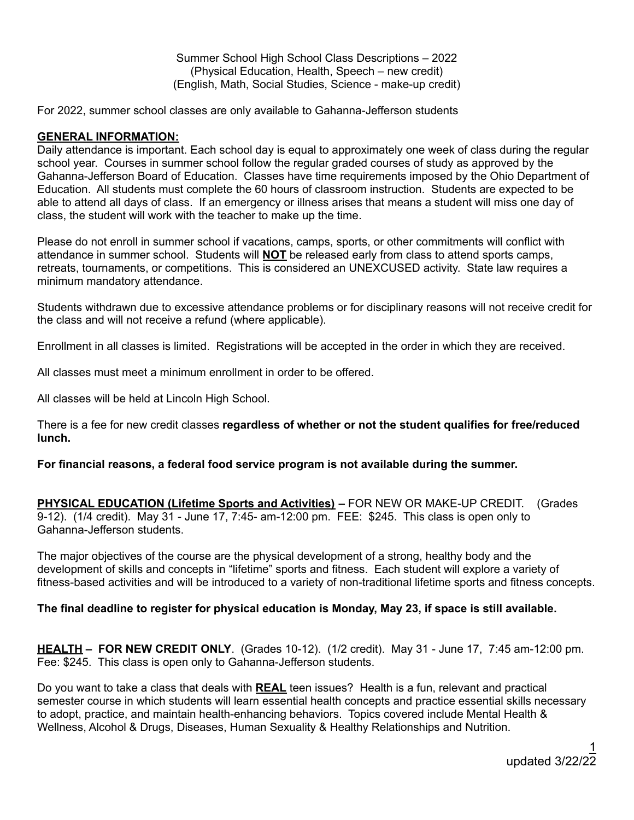Summer School High School Class Descriptions – 2022 (Physical Education, Health, Speech – new credit) (English, Math, Social Studies, Science - make-up credit)

For 2022, summer school classes are only available to Gahanna-Jefferson students

## **GENERAL INFORMATION:**

Daily attendance is important. Each school day is equal to approximately one week of class during the regular school year. Courses in summer school follow the regular graded courses of study as approved by the Gahanna-Jefferson Board of Education. Classes have time requirements imposed by the Ohio Department of Education. All students must complete the 60 hours of classroom instruction. Students are expected to be able to attend all days of class. If an emergency or illness arises that means a student will miss one day of class, the student will work with the teacher to make up the time.

Please do not enroll in summer school if vacations, camps, sports, or other commitments will conflict with attendance in summer school. Students will **NOT** be released early from class to attend sports camps, retreats, tournaments, or competitions. This is considered an UNEXCUSED activity. State law requires a minimum mandatory attendance.

Students withdrawn due to excessive attendance problems or for disciplinary reasons will not receive credit for the class and will not receive a refund (where applicable).

Enrollment in all classes is limited. Registrations will be accepted in the order in which they are received.

All classes must meet a minimum enrollment in order to be offered.

All classes will be held at Lincoln High School.

There is a fee for new credit classes **regardless of whether or not the student qualifies for free/reduced lunch.**

**For financial reasons, a federal food service program is not available during the summer.**

**PHYSICAL EDUCATION (Lifetime Sports and Activities) –** FOR NEW OR MAKE-UP CREDIT. (Grades 9-12). (1/4 credit). May 31 - June 17, 7:45- am-12:00 pm. FEE: \$245. This class is open only to Gahanna-Jefferson students.

The major objectives of the course are the physical development of a strong, healthy body and the development of skills and concepts in "lifetime" sports and fitness. Each student will explore a variety of fitness-based activities and will be introduced to a variety of non-traditional lifetime sports and fitness concepts.

## **The final deadline to register for physical education is Monday, May 23, if space is still available.**

**HEALTH – FOR NEW CREDIT ONLY**. (Grades 10-12). (1/2 credit). May 31 - June 17, 7:45 am-12:00 pm. Fee: \$245. This class is open only to Gahanna-Jefferson students.

Do you want to take a class that deals with **REAL** teen issues? Health is a fun, relevant and practical semester course in which students will learn essential health concepts and practice essential skills necessary to adopt, practice, and maintain health-enhancing behaviors. Topics covered include Mental Health & Wellness, Alcohol & Drugs, Diseases, Human Sexuality & Healthy Relationships and Nutrition.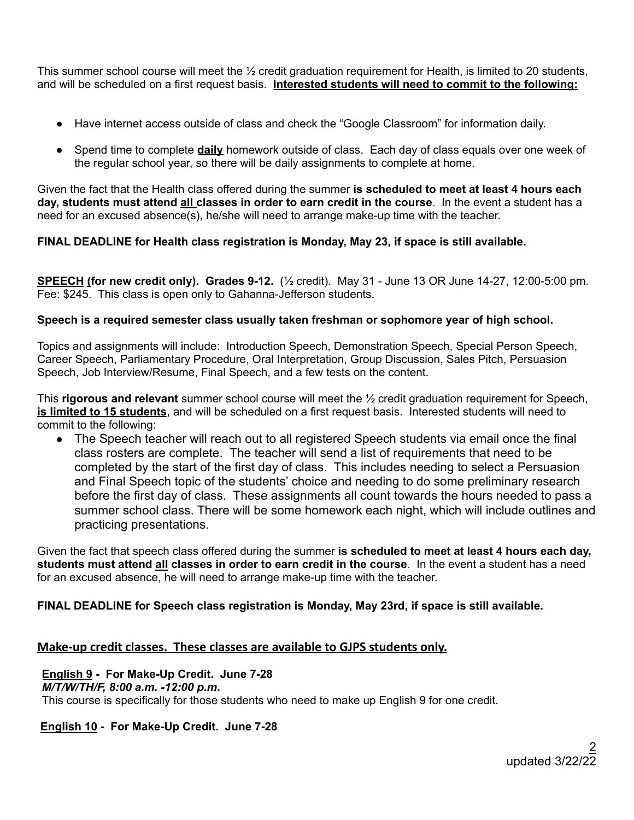This summer school course will meet the ½ credit graduation requirement for Health, is limited to 20 students, and will be scheduled on a first request basis. **Interested students will need to commit to the following:**

- Have internet access outside of class and check the "Google Classroom" for information daily.
- Spend time to complete **daily** homework outside of class. Each day of class equals over one week of the regular school year, so there will be daily assignments to complete at home.

Given the fact that the Health class offered during the summer **is scheduled to meet at least 4 hours each day, students must attend all classes in order to earn credit in the course**. In the event a student has a need for an excused absence(s), he/she will need to arrange make-up time with the teacher.

# **FINAL DEADLINE for Health class registration is Monday, May 23, if space is still available.**

**SPEECH (for new credit only). Grades 9-12.** (½ credit). May 31 - June 13 OR June 14-27, 12:00-5:00 pm. Fee: \$245. This class is open only to Gahanna-Jefferson students.

# **Speech is a required semester class usually taken freshman or sophomore year of high school.**

Topics and assignments will include: Introduction Speech, Demonstration Speech, Special Person Speech, Career Speech, Parliamentary Procedure, Oral Interpretation, Group Discussion, Sales Pitch, Persuasion Speech, Job Interview/Resume, Final Speech, and a few tests on the content.

This **rigorous and relevant** summer school course will meet the ½ credit graduation requirement for Speech, **is limited to 15 students**, and will be scheduled on a first request basis. Interested students will need to commit to the following:

• The Speech teacher will reach out to all registered Speech students via email once the final class rosters are complete. The teacher will send a list of requirements that need to be completed by the start of the first day of class. This includes needing to select a Persuasion and Final Speech topic of the students' choice and needing to do some preliminary research before the first day of class. These assignments all count towards the hours needed to pass a summer school class. There will be some homework each night, which will include outlines and practicing presentations.

Given the fact that speech class offered during the summer **is scheduled to meet at least 4 hours each day, students must attend all classes in order to earn credit in the course**. In the event a student has a need for an excused absence, he will need to arrange make-up time with the teacher.

# **FINAL DEADLINE for Speech class registration is Monday, May 23rd, if space is still available.**

# **Make-up credit classes. These classes are available to GJPS students only.**

# **English 9 - For Make-Up Credit. June 7-28**

## *M/T/W/TH/F, 8:00 a.m. -12:00 p.m***.**

This course is specifically for those students who need to make up English 9 for one credit.

# **English 10 - For Make-Up Credit. June 7-28**